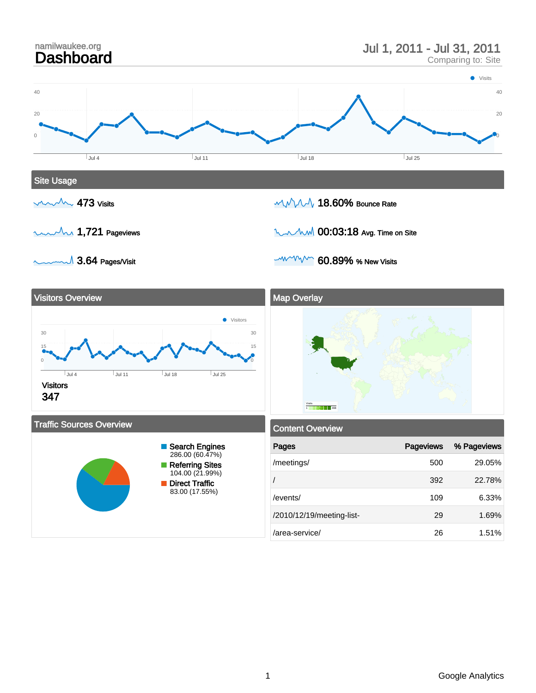

<sup>1</sup> Google Analytics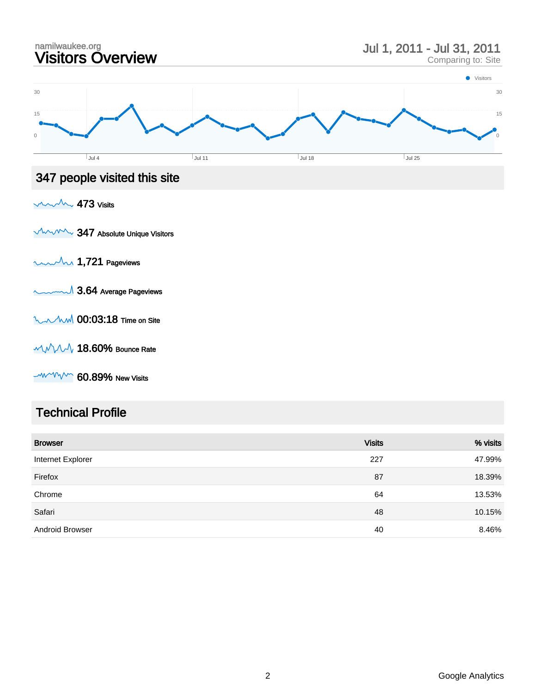

 $M/M/M$  60.89% New Visits

#### Technical Profile

| <b>Browser</b>         | <b>Visits</b> | % visits |
|------------------------|---------------|----------|
| Internet Explorer      | 227           | 47.99%   |
| Firefox                | 87            | 18.39%   |
| Chrome                 | 64            | 13.53%   |
| Safari                 | 48            | 10.15%   |
| <b>Android Browser</b> | 40            | 8.46%    |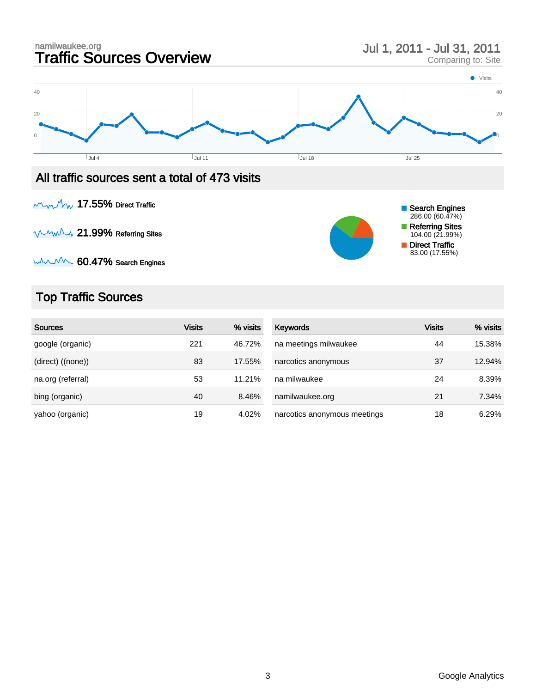

 $M_{\text{W}} M_{\text{W}}$  17.55% Direct Traffic

WWW 21.99% Referring Sites



wwwww 60.47% Search Engines

## Top Traffic Sources

| Sources           | <b>Visits</b> | % visits | Keywords                     | Visits | % visits |
|-------------------|---------------|----------|------------------------------|--------|----------|
| google (organic)  | 221           | 46.72%   | na meetings milwaukee        | 44     | 15.38%   |
| (direct) ((none)) | 83            | 17.55%   | narcotics anonymous          | 37     | 12.94%   |
| na.org (referral) | 53            | 11.21%   | na milwaukee                 | 24     | 8.39%    |
| bing (organic)    | 40            | 8.46%    | namilwaukee.org              | 21     | 7.34%    |
| yahoo (organic)   | 19            | 4.02%    | narcotics anonymous meetings | 18     | 6.29%    |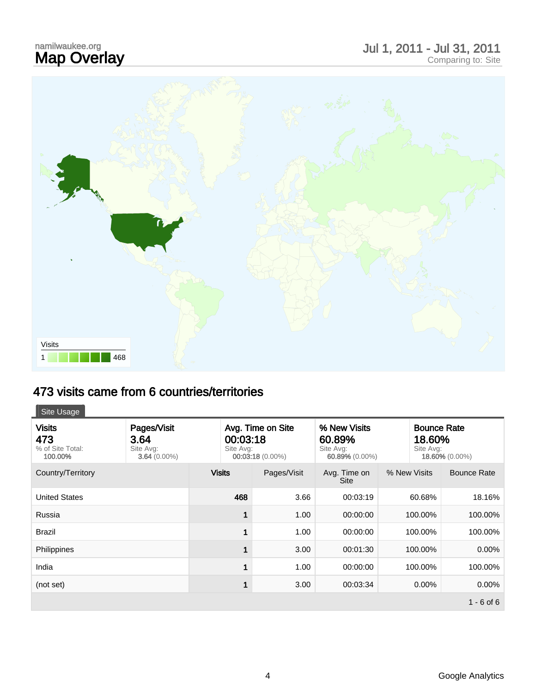# namilwaukee.org<br>**Map Overlay**

# Map Overlay Jul 1, 2011 - Jul 31, 2011 Comparing to: Site





### 473 visits came from 6 countries/territories

| Site Usage                                          |                                                    |                                                                  |             |                                                       |              |                                                             |  |
|-----------------------------------------------------|----------------------------------------------------|------------------------------------------------------------------|-------------|-------------------------------------------------------|--------------|-------------------------------------------------------------|--|
| <b>Visits</b><br>473<br>% of Site Total:<br>100.00% | Pages/Visit<br>3.64<br>Site Avg:<br>$3.64(0.00\%)$ | Avg. Time on Site<br>00:03:18<br>Site Avg:<br>$00:03:18(0.00\%)$ |             | % New Visits<br>60.89%<br>Site Avg:<br>60.89% (0.00%) |              | <b>Bounce Rate</b><br>18.60%<br>Site Avg:<br>18.60% (0.00%) |  |
| Country/Territory                                   |                                                    | <b>Visits</b>                                                    | Pages/Visit | Avg. Time on<br><b>Site</b>                           | % New Visits | <b>Bounce Rate</b>                                          |  |
| <b>United States</b>                                |                                                    | 468                                                              | 3.66        | 00:03:19                                              | 60.68%       | 18.16%                                                      |  |
| Russia                                              |                                                    | 1                                                                | 1.00        | 00:00:00                                              | 100.00%      | 100.00%                                                     |  |
| <b>Brazil</b>                                       |                                                    | 1                                                                | 1.00        | 00:00:00                                              | 100.00%      | 100.00%                                                     |  |
| Philippines                                         |                                                    | 1                                                                | 3.00        | 00:01:30                                              | 100.00%      | 0.00%                                                       |  |
| India                                               |                                                    | 1                                                                | 1.00        | 00:00:00                                              | 100.00%      | 100.00%                                                     |  |
| (not set)                                           |                                                    | $\mathbf 1$                                                      | 3.00        | 00:03:34                                              | $0.00\%$     | $0.00\%$                                                    |  |
|                                                     |                                                    |                                                                  |             |                                                       |              | $1 - 6$ of 6                                                |  |